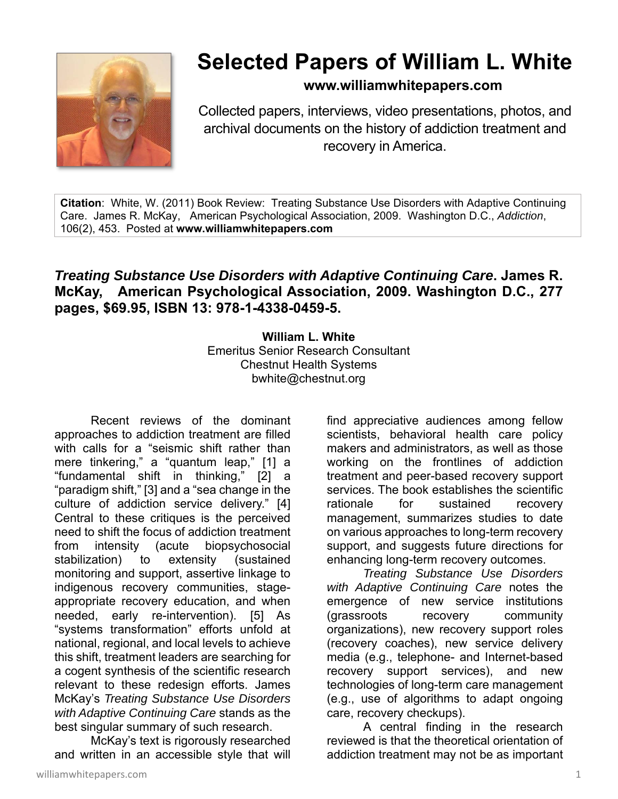

## **Selected Papers of William L. White**

**www.williamwhitepapers.com**

Collected papers, interviews, video presentations, photos, and archival documents on the history of addiction treatment and recovery in America.

**Citation**: White, W. (2011) Book Review: Treating Substance Use Disorders with Adaptive Continuing Care. James R. McKay, American Psychological Association, 2009. Washington D.C., *Addiction*, 106(2), 453. Posted at **www.williamwhitepapers.com** 

## *Treating Substance Use Disorders with Adaptive Continuing Care***. James R. McKay, American Psychological Association, 2009. Washington D.C., 277 pages, \$69.95, ISBN 13: 978-1-4338-0459-5.**

**William L. White**  Emeritus Senior Research Consultant Chestnut Health Systems bwhite@chestnut.org

Recent reviews of the dominant approaches to addiction treatment are filled with calls for a "seismic shift rather than mere tinkering," a "quantum leap," [1] a "fundamental shift in thinking," [2] a "paradigm shift," [3] and a "sea change in the culture of addiction service delivery." [4] Central to these critiques is the perceived need to shift the focus of addiction treatment from intensity (acute biopsychosocial stabilization) to extensity (sustained monitoring and support, assertive linkage to indigenous recovery communities, stageappropriate recovery education, and when needed, early re-intervention). [5] As "systems transformation" efforts unfold at national, regional, and local levels to achieve this shift, treatment leaders are searching for a cogent synthesis of the scientific research relevant to these redesign efforts. James McKay's *Treating Substance Use Disorders with Adaptive Continuing Care* stands as the best singular summary of such research.

 McKay's text is rigorously researched and written in an accessible style that will find appreciative audiences among fellow scientists, behavioral health care policy makers and administrators, as well as those working on the frontlines of addiction treatment and peer-based recovery support services. The book establishes the scientific rationale for sustained recovery management, summarizes studies to date on various approaches to long-term recovery support, and suggests future directions for enhancing long-term recovery outcomes.

*Treating Substance Use Disorders with Adaptive Continuing Care* notes the emergence of new service institutions (grassroots recovery community organizations), new recovery support roles (recovery coaches), new service delivery media (e.g., telephone- and Internet-based recovery support services), and new technologies of long-term care management (e.g., use of algorithms to adapt ongoing care, recovery checkups).

 A central finding in the research reviewed is that the theoretical orientation of addiction treatment may not be as important